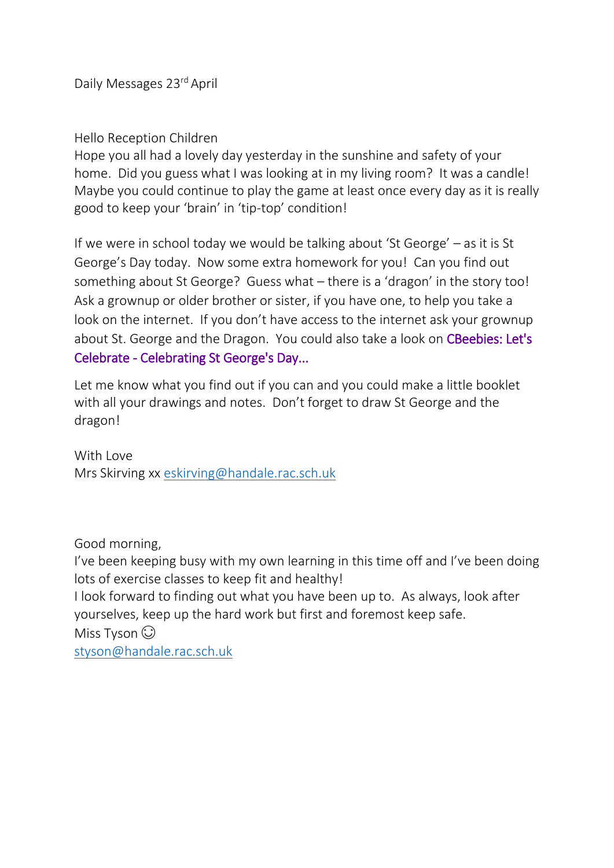Daily Messages 23rd April

### Hello Reception Children

Hope you all had a lovely day yesterday in the sunshine and safety of your home. Did you guess what I was looking at in my living room? It was a candle! Maybe you could continue to play the game at least once every day as it is really good to keep your 'brain' in 'tip-top' condition!

If we were in school today we would be talking about 'St George' – as it is St George's Day today. Now some extra homework for you! Can you find out something about St George? Guess what – there is a 'dragon' in the story too! Ask a grownup or older brother or sister, if you have one, to help you take a look on the internet. If you don't have access to the internet ask your grownup about St. George and the Dragon. You could also take a look on CBeebies: Let's [Celebrate - Celebrating St George's Day...](https://www.youtube.com/watch?v=nr8b6jvC5l8) 

Let me know what you find out if you can and you could make a little booklet with all your drawings and notes. Don't forget to draw St George and the dragon!

With Love Mrs Skirving xx [eskirving@handale.rac.sch.uk](mailto:eskirving@handale.rac.sch.uk)

Good morning,

I've been keeping busy with my own learning in this time off and I've been doing lots of exercise classes to keep fit and healthy!

I look forward to finding out what you have been up to. As always, look after yourselves, keep up the hard work but first and foremost keep safe.

Miss Tyson  $\odot$ [styson@handale.rac.sch.uk](mailto:styson@handale.rac.sch.uk)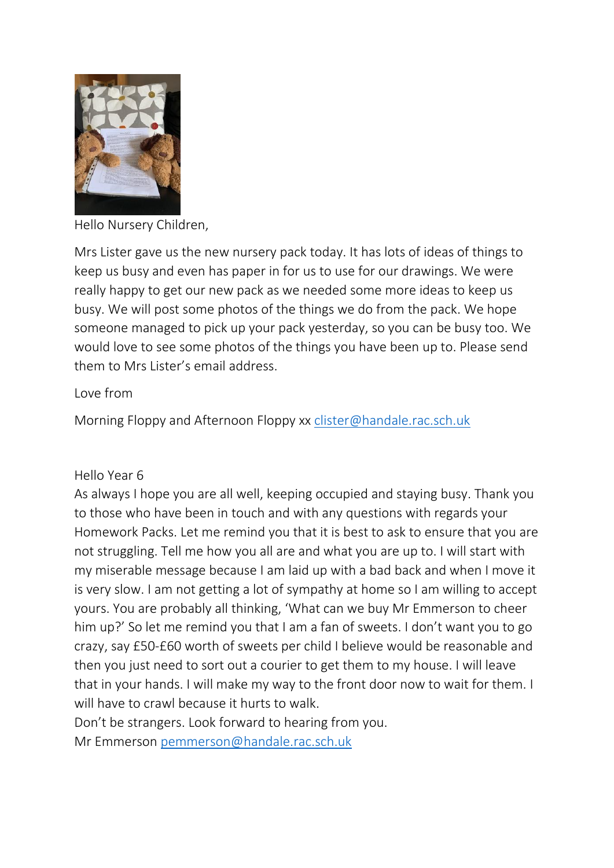

Hello Nursery Children,

Mrs Lister gave us the new nursery pack today. It has lots of ideas of things to keep us busy and even has paper in for us to use for our drawings. We were really happy to get our new pack as we needed some more ideas to keep us busy. We will post some photos of the things we do from the pack. We hope someone managed to pick up your pack yesterday, so you can be busy too. We would love to see some photos of the things you have been up to. Please send them to Mrs Lister's email address.

### Love from

Morning Floppy and Afternoon Floppy xx [clister@handale.rac.sch.uk](mailto:clister@handale.rac.sch.uk)

### Hello Year 6

As always I hope you are all well, keeping occupied and staying busy. Thank you to those who have been in touch and with any questions with regards your Homework Packs. Let me remind you that it is best to ask to ensure that you are not struggling. Tell me how you all are and what you are up to. I will start with my miserable message because I am laid up with a bad back and when I move it is very slow. I am not getting a lot of sympathy at home so I am willing to accept yours. You are probably all thinking, 'What can we buy Mr Emmerson to cheer him up?' So let me remind you that I am a fan of sweets. I don't want you to go crazy, say £50-£60 worth of sweets per child I believe would be reasonable and then you just need to sort out a courier to get them to my house. I will leave that in your hands. I will make my way to the front door now to wait for them. I will have to crawl because it hurts to walk.

Don't be strangers. Look forward to hearing from you.

Mr Emmerson [pemmerson@handale.rac.sch.uk](mailto:pemmerson@handale.rac.sch.uk)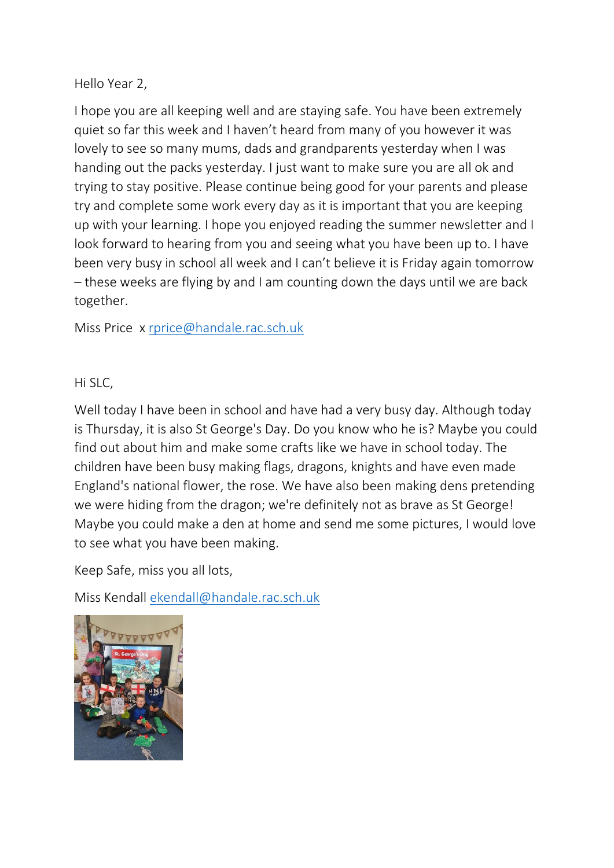## Hello Year 2,

I hope you are all keeping well and are staying safe. You have been extremely quiet so far this week and I haven't heard from many of you however it was lovely to see so many mums, dads and grandparents yesterday when I was handing out the packs yesterday. I just want to make sure you are all ok and trying to stay positive. Please continue being good for your parents and please try and complete some work every day as it is important that you are keeping up with your learning. I hope you enjoyed reading the summer newsletter and I look forward to hearing from you and seeing what you have been up to. I have been very busy in school all week and I can't believe it is Friday again tomorrow – these weeks are flying by and I am counting down the days until we are back together.

Miss Price x [rprice@handale.rac.sch.uk](mailto:rprice@handale.rac.sch.uk)

## Hi SLC,

Well today I have been in school and have had a very busy day. Although today is Thursday, it is also St George's Day. Do you know who he is? Maybe you could find out about him and make some crafts like we have in school today. The children have been busy making flags, dragons, knights and have even made England's national flower, the rose. We have also been making dens pretending we were hiding from the dragon; we're definitely not as brave as St George! Maybe you could make a den at home and send me some pictures, I would love to see what you have been making.

Keep Safe, miss you all lots,

Miss Kendall [ekendall@handale.rac.sch.uk](mailto:ekendall@handale.rac.sch.uk)

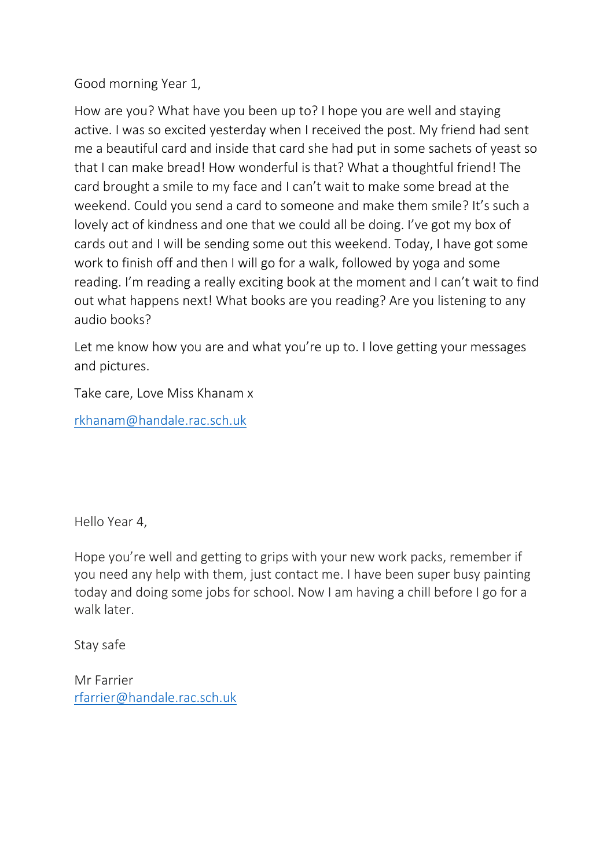# Good morning Year 1,

How are you? What have you been up to? I hope you are well and staying active. I was so excited yesterday when I received the post. My friend had sent me a beautiful card and inside that card she had put in some sachets of yeast so that I can make bread! How wonderful is that? What a thoughtful friend! The card brought a smile to my face and I can't wait to make some bread at the weekend. Could you send a card to someone and make them smile? It's such a lovely act of kindness and one that we could all be doing. I've got my box of cards out and I will be sending some out this weekend. Today, I have got some work to finish off and then I will go for a walk, followed by yoga and some reading. I'm reading a really exciting book at the moment and I can't wait to find out what happens next! What books are you reading? Are you listening to any audio books?

Let me know how you are and what you're up to. I love getting your messages and pictures.

Take care, Love Miss Khanam x

[rkhanam@handale.rac.sch.uk](mailto:rkhanam@handale.rac.sch.uk)

Hello Year 4,

Hope you're well and getting to grips with your new work packs, remember if you need any help with them, just contact me. I have been super busy painting today and doing some jobs for school. Now I am having a chill before I go for a walk later.

Stay safe

Mr Farrier [rfarrier@handale.rac.sch.uk](mailto:rfarrier@handale.rac.sch.uk)